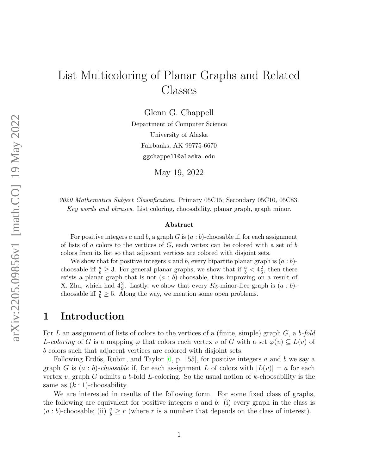# List Multicoloring of Planar Graphs and Related Classes

Glenn G. Chappell

Department of Computer Science University of Alaska Fairbanks, AK 99775-6670 ggchappell@alaska.edu

May 19, 2022

2020 Mathematics Subject Classification. Primary 05C15; Secondary 05C10, 05C83. Key words and phrases. List coloring, choosability, planar graph, graph minor.

#### Abstract

For positive integers a and b, a graph G is  $(a : b)$ -choosable if, for each assignment of lists of a colors to the vertices of  $G$ , each vertex can be colored with a set of b colors from its list so that adjacent vertices are colored with disjoint sets.

We show that for positive integers a and b, every bipartite planar graph is  $(a : b)$ choosable iff  $\frac{a}{b} \geq 3$ . For general planar graphs, we show that if  $\frac{a}{b} < 4\frac{2}{5}$  $\frac{2}{5}$ , then there exists a planar graph that is not  $(a : b)$ -choosable, thus improving on a result of X. Zhu, which had  $4\frac{2}{9}$ . Lastly, we show that every  $K_5$ -minor-free graph is  $(a:b)$ choosable iff  $\frac{a}{b} \ge 5$ . Along the way, we mention some open problems.

### <span id="page-0-0"></span>1 Introduction

For L an assignment of lists of colors to the vertices of a (finite, simple) graph  $G$ , a b-fold L-coloring of G is a mapping  $\varphi$  that colors each vertex v of G with a set  $\varphi(v) \subseteq L(v)$  of b colors such that adjacent vertices are colored with disjoint sets.

Following Erdős, Rubin, and Taylor  $[6, p. 155]$  $[6, p. 155]$ , for positive integers a and b we say a graph G is  $(a : b)$ -choosable if, for each assignment L of colors with  $|L(v)| = a$  for each vertex v, graph G admits a b-fold L-coloring. So the usual notion of  $k$ -choosability is the same as  $(k:1)$ -choosability.

We are interested in results of the following form. For some fixed class of graphs, the following are equivalent for positive integers  $a$  and  $b$ : (i) every graph in the class is  $(a:b)$ -choosable; (ii)  $\frac{a}{b} \geq r$  (where r is a number that depends on the class of interest).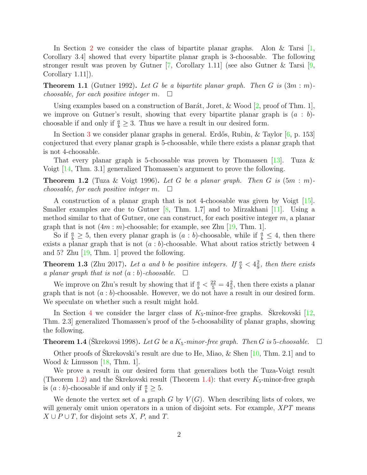In Section [2](#page-2-0) we consider the class of bipartite planar graphs. Alon & Tarsi  $[1,$ Corollary 3.4] showed that every bipartite planar graph is 3-choosable. The following stronger result was proven by Gutner  $[7,$  Corollary 1.11] (see also Gutner & Tarsi  $[9,$ Corollary 1.11]).

<span id="page-1-2"></span>**Theorem 1.1** (Gutner 1992). Let G be a bipartite planar graph. Then G is  $(3m : m)$ choosable, for each positive integer  $m$ .  $\Box$ 

Using examples based on a construction of Barát, Joret,  $\&$  Wood [\[2,](#page-12-4) proof of Thm. 1], we improve on Gutner's result, showing that every bipartite planar graph is  $(a : b)$ choosable if and only if  $\frac{a}{b} \geq 3$ . Thus we have a result in our desired form.

In Section [3](#page-3-0) we consider planar graphs in general. Erdős, Rubin, & Taylor [\[6,](#page-12-0) p. 153] conjectured that every planar graph is 5-choosable, while there exists a planar graph that is not 4-choosable.

That every planar graph is 5-choosable was proven by Thomassen [\[13\]](#page-12-5). Tuza  $\&$ Voigt [\[14,](#page-13-0) Thm. 3.1] generalized Thomassen's argument to prove the following.

<span id="page-1-0"></span>**Theorem 1.2** (Tuza & Voigt 1996). Let G be a planar graph. Then G is  $(5m : m)$ choosable, for each positive integer  $m$ .  $\Box$ 

A construction of a planar graph that is not 4-choosable was given by Voigt [\[15\]](#page-13-1). Smaller examples are due to Gutner  $\begin{bmatrix} 8 \\ 1 \end{bmatrix}$ , Thm. 1.7 and to Mirzakhani  $\begin{bmatrix} 11 \\ 1 \end{bmatrix}$ . Using a method similar to that of Gutner, one can construct, for each positive integer m, a planar graph that is not  $(4m : m)$ -choosable; for example, see Zhu [\[19,](#page-13-2) Thm. 1].

So if  $\frac{a}{b} \geq 5$ , then every planar graph is  $(a : b)$ -choosable, while if  $\frac{a}{b} \leq 4$ , then there exists a planar graph that is not  $(a : b)$ -choosable. What about ratios strictly between 4 and 5? Zhu  $\left|19, \text{Thm} \right|$ . 1 proved the following.

**Theorem 1.3** (Zhu 2017). Let a and b be positive integers. If  $\frac{a}{b} < 4\frac{2}{9}$  $\frac{2}{9}$ , then there exists a planar graph that is not  $(a:b)$ -choosable.  $\Box$ 

We improve on Zhu's result by showing that if  $\frac{a}{b} < \frac{22}{5} = 4\frac{2}{5}$ , then there exists a planar graph that is not  $(a:b)$ -choosable. However, we do not have a result in our desired form. We speculate on whether such a result might hold.

In Section [4](#page-7-0) we consider the larger class of  $K_5$ -minor-free graphs. Skrekovski [[12,](#page-12-8) Thm. 2.3] generalized Thomassen's proof of the 5-choosability of planar graphs, showing the following.

<span id="page-1-1"></span>**Theorem 1.4** (Skrekovsi 1998). Let G be a  $K_5$ -minor-free graph. Then G is 5-choosable.  $\Box$ 

Other proofs of Skrekovski's result are due to He, Miao,  $\&$  Shen [[10,](#page-12-9) Thm. 2.1] and to Wood & Linusson  $[18, Thm. 1]$  $[18, Thm. 1]$ .

We prove a result in our desired form that generalizes both the Tuza-Voigt result (Theorem [1.2\)](#page-1-0) and the Skrekovski result (Theorem [1.4\)](#page-1-1): that every  $K_5$ -minor-free graph is  $(a:b)$ -choosable if and only if  $\frac{a}{b} \geq 5$ .

We denote the vertex set of a graph G by  $V(G)$ . When describing lists of colors, we will generaly omit union operators in a union of disjoint sets. For example, XPT means  $X \cup P \cup T$ , for disjoint sets X, P, and T.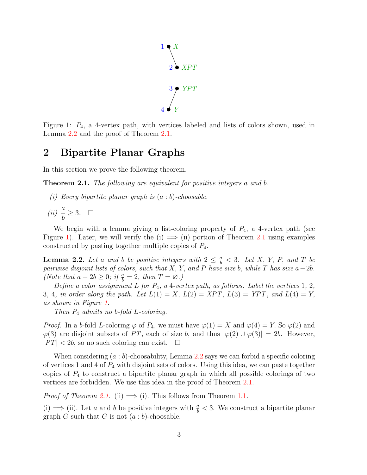

<span id="page-2-3"></span>Figure 1:  $P_4$ , a 4-vertex path, with vertices labeled and lists of colors shown, used in Lemma [2.2](#page-2-1) and the proof of Theorem [2.1.](#page-2-2)

### <span id="page-2-0"></span>2 Bipartite Planar Graphs

In this section we prove the following theorem.

<span id="page-2-2"></span>Theorem 2.1. The following are equivalent for positive integers a and b.

- (i) Every bipartite planar graph is  $(a : b)$ -choosable.
- $(ii) \frac{a}{i}$ b  $\geq 3.$

We begin with a lemma giving a list-coloring property of  $P_4$ , a 4-vertex path (see Figure [1\)](#page-2-3). Later, we will verify the (i)  $\implies$  (ii) portion of Theorem [2.1](#page-2-2) using examples constructed by pasting together multiple copies of  $P_4$ .

<span id="page-2-1"></span>**Lemma 2.2.** Let a and b be positive integers with  $2 \leq \frac{a}{b} < 3$ . Let X, Y, P, and T be pairwise disjoint lists of colors, such that X, Y, and P have size b, while T has size  $a-2b$ . (Note that  $a - 2b \geq 0$ ; if  $\frac{a}{b} = 2$ , then  $T = \emptyset$ .)

Define a color assignment  $L$  for  $P_4$ , a 4-vertex path, as follows. Label the vertices 1, 2, 3, 4, in order along the path. Let  $L(1) = X$ ,  $L(2) = XPT$ ,  $L(3) = YPT$ , and  $L(4) = Y$ , as shown in Figure [1.](#page-2-3)

Then  $P_4$  admits no b-fold L-coloring.

*Proof.* In a b-fold L-coloring  $\varphi$  of  $P_4$ , we must have  $\varphi(1) = X$  and  $\varphi(4) = Y$ . So  $\varphi(2)$  and  $\varphi(3)$  are disjoint subsets of PT, each of size b, and thus  $|\varphi(2) \cup \varphi(3)| = 2b$ . However,  $|PT| < 2b$ , so no such coloring can exist.  $\square$ 

When considering  $(a:b)$ -choosability, Lemma [2.2](#page-2-1) says we can forbid a specific coloring of vertices 1 and 4 of  $P_4$  with disjoint sets of colors. Using this idea, we can paste together copies of  $P_4$  to construct a bipartite planar graph in which all possible colorings of two vertices are forbidden. We use this idea in the proof of Theorem [2.1.](#page-2-2)

*Proof of Theorem [2.1.](#page-2-2)* (ii)  $\implies$  (i). This follows from Theorem [1.1.](#page-1-2)

(i) ⇒ (ii). Let a and b be positive integers with  $\frac{a}{b}$  < 3. We construct a bipartite planar graph G such that G is not  $(a:b)$ -choosable.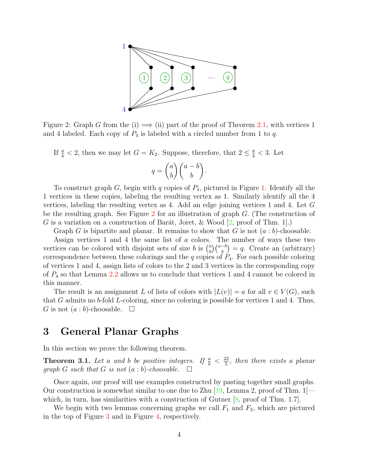

<span id="page-3-1"></span>Figure 2: Graph G from the (i)  $\implies$  (ii) part of the proof of Theorem [2.1,](#page-2-2) with vertices 1 and 4 labeled. Each copy of  $P_4$  is labeled with a circled number from 1 to q.

If  $\frac{a}{b} < 2$ , then we may let  $G = K_2$ . Suppose, therefore, that  $2 \leq \frac{a}{b} < 3$ . Let

$$
q = \binom{a}{b} \binom{a-b}{b}.
$$

To construct graph  $G$ , begin with  $q$  copies of  $P_4$ , pictured in Figure [1.](#page-2-3) Identify all the 1 vertices in these copies, labeling the resulting vertex as 1. Similarly identify all the 4 vertices, labeling the resulting vertex as 4. Add an edge joining vertices 1 and 4. Let G be the resulting graph. See Figure [2](#page-3-1) for an illustration of graph G. (The construction of G is a variation on a construction of Barát, Joret, & Wood  $[2, \text{proof of Thm. 1}].$  $[2, \text{proof of Thm. 1}].$ 

Graph G is bipartite and planar. It remains to show that G is not  $(a : b)$ -choosable.

Assign vertices 1 and 4 the same list of a colors. The number of ways these two vertices can be colored with disjoint sets of size b is  $\binom{a}{b}$  $\binom{a}{b}\binom{a-b}{b} = q$ . Create an (arbitrary) correspondence between these colorings and the q copies of  $P_4$ . For each possible coloring of vertices 1 and 4, assign lists of colors to the 2 and 3 vertices in the corresponding copy of  $P_4$  so that Lemma [2.2](#page-2-1) allows us to conclude that vertices 1 and 4 cannot be colored in this manner.

The result is an assignment L of lists of colors with  $|L(v)| = a$  for all  $v \in V(G)$ , such that G admits no b-fold L-coloring, since no coloring is possible for vertices 1 and 4. Thus, G is not  $(a:b)$ -choosable.  $\square$ 

### <span id="page-3-0"></span>3 General Planar Graphs

In this section we prove the following theorem.

<span id="page-3-2"></span>**Theorem 3.1.** Let a and b be positive integers. If  $\frac{a}{b} < \frac{22}{5}$  $\frac{d^{22}}{5}$ , then there exists a planar graph G such that G is not  $(a:b)$ -choosable.  $\Box$ 

Once again, our proof will use examples constructed by pasting together small graphs. Our construction is somewhat similar to one due to Zhu  $[19, \text{Lemma 2}, \text{proof of Thm. 1}]$  $[19, \text{Lemma 2}, \text{proof of Thm. 1}]$  which, in turn, has similarities with a construction of Gutner  $[8, \text{proof of Thm. } 1.7]$  $[8, \text{proof of Thm. } 1.7]$ .

We begin with two lemmas concerning graphs we call  $F_1$  and  $F_2$ , which are pictured in the top of Figure [3](#page-4-0) and in Figure [4,](#page-6-0) respectively.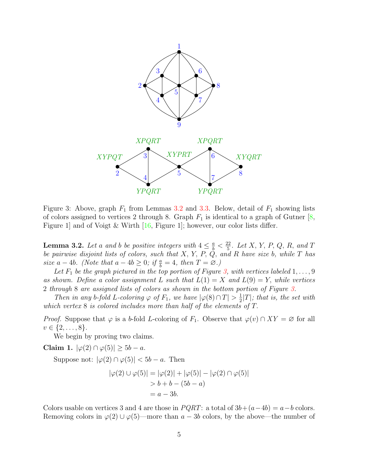

<span id="page-4-0"></span>Figure 3: Above, graph  $F_1$  from Lemmas [3.2](#page-4-1) and [3.3.](#page-5-0) Below, detail of  $F_1$  showing lists of colors assigned to vertices 2 through 8. Graph  $F_1$  is identical to a graph of Gutner  $[8,$ Figure 1] and of Voigt & Wirth [\[16,](#page-13-4) Figure 1]; however, our color lists differ.

<span id="page-4-1"></span>**Lemma 3.2.** Let a and b be positive integers with  $4 \leq \frac{a}{b} < \frac{22}{5}$  $\frac{p_2}{5}$ . Let X, Y, P, Q, R, and T be pairwise disjoint lists of colors, such that  $X, Y, P, Q$ , and R have size b, while  $T$  has size  $a - 4b$ . (Note that  $a - 4b \geq 0$ ; if  $\frac{a}{b} = 4$ , then  $T = \emptyset$ .)

Let  $F_1$  be the graph pictured in the top portion of Figure [3,](#page-4-0) with vertices labeled  $1, \ldots, 9$ as shown. Define a color assignment L such that  $L(1) = X$  and  $L(9) = Y$ , while vertices 2 through 8 are assigned lists of colors as shown in the bottom portion of Figure [3.](#page-4-0)

Then in any b-fold L-coloring  $\varphi$  of  $F_1$ , we have  $|\varphi(8) \cap T| > \frac{1}{2}$  $\frac{1}{2}|T|$ ; that is, the set with which vertex 8 is colored includes more than half of the elements of T.

*Proof.* Suppose that  $\varphi$  is a b-fold L-coloring of F<sub>1</sub>. Observe that  $\varphi(v) \cap XY = \varnothing$  for all  $v \in \{2, \ldots, 8\}.$ 

We begin by proving two claims.

Claim 1.  $|\varphi(2) \cap \varphi(5)| > 5b - a$ .

Suppose not:  $|\varphi(2) \cap \varphi(5)| < 5b - a$ . Then

$$
|\varphi(2) \cup \varphi(5)| = |\varphi(2)| + |\varphi(5)| - |\varphi(2) \cap \varphi(5)|
$$
  
> b + b - (5b - a)  
= a - 3b.

Colors usable on vertices 3 and 4 are those in  $PQRT$ : a total of  $3b+(a-4b)=a-b$  colors. Removing colors in  $\varphi(2) \cup \varphi(5)$ —more than  $a - 3b$  colors, by the above—the number of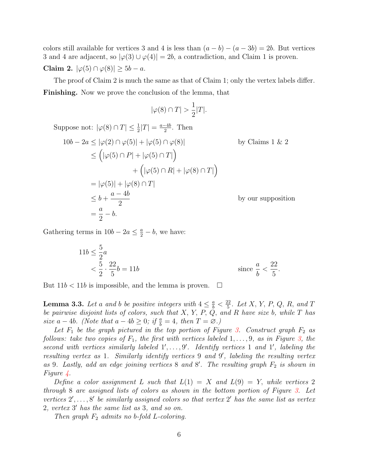colors still available for vertices 3 and 4 is less than  $(a - b) - (a - 3b) = 2b$ . But vertices 3 and 4 are adjacent, so  $|\varphi(3) \cup \varphi(4)| = 2b$ , a contradiction, and Claim 1 is proven. Claim 2.  $|\varphi(5) \cap \varphi(8)| \ge 5b - a$ .

The proof of Claim 2 is much the same as that of Claim 1; only the vertex labels differ. Finishing. Now we prove the conclusion of the lemma, that

$$
|\varphi(8) \cap T| > \frac{1}{2}|T|.
$$

Suppose not:  $|\varphi(8) \cap T| \leq \frac{1}{2}|T| = \frac{a-4b}{2}$ . Then  $10b - 2a < |\varphi(2) \cap \varphi(5)| + |\varphi(5) \cap \varphi(8)|$  by Claims 1 & 2  $\leq (|\varphi(5) \cap P| + |\varphi(5) \cap T|)$  $+\left(|\varphi(5)\cap R|+|\varphi(8)\cap T|\right)$  $= |\varphi(5)| + |\varphi(8) \cap T|$  $\leq b +$  $a - 4b$ 2 by our supposition = a 2  $-\,b.$ 

Gathering terms in  $10b - 2a \leq \frac{a}{2} - b$ , we have:

$$
11b \le \frac{5}{2}a
$$
  

$$
< \frac{5}{2} \cdot \frac{22}{5}b = 11b
$$
 since  $\frac{a}{b} < \frac{22}{5}$ .

But  $11b < 11b$  is impossible, and the lemma is proven.  $\Box$ 

<span id="page-5-0"></span>**Lemma 3.3.** Let a and b be positive integers with  $4 \leq \frac{a}{b} < \frac{22}{5}$  $\frac{d^{22}}{5}$ . Let X, Y, P, Q, R, and T be pairwise disjoint lists of colors, such that  $X, Y, P, Q$ , and R have size b, while T has size  $a - 4b$ . (Note that  $a - 4b \geq 0$ ; if  $\frac{a}{b} = 4$ , then  $T = \emptyset$ .)

Let  $F_1$  be the graph pictured in the top portion of Figure [3.](#page-4-0) Construct graph  $F_2$  as follows: take two copies of  $F_1$ , the first with vertices labeled  $1, \ldots, 9$ , as in Figure [3,](#page-4-0) the second with vertices similarly labeled  $1', \ldots, 9'$ . Identify vertices 1 and 1', labeling the resulting vertex as 1. Similarly identify vertices 9 and 9', labeling the resulting vertex as 9. Lastly, add an edge joining vertices 8 and 8'. The resulting graph  $F_2$  is shown in Figure [4.](#page-6-0)

Define a color assignment L such that  $L(1) = X$  and  $L(9) = Y$ , while vertices 2 through 8 are assigned lists of colors as shown in the bottom portion of Figure [3.](#page-4-0) Let vertices  $2', \ldots, 8'$  be similarly assigned colors so that vertex  $2'$  has the same list as vertex  $2,$  vertex  $3'$  has the same list as  $3,$  and so on.

Then graph  $F_2$  admits no b-fold L-coloring.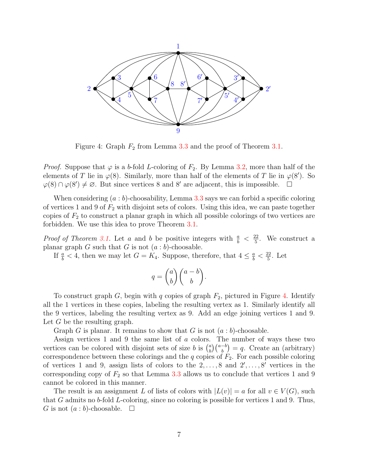

<span id="page-6-0"></span>Figure 4: Graph  $F_2$  from Lemma [3.3](#page-5-0) and the proof of Theorem [3.1.](#page-3-2)

*Proof.* Suppose that  $\varphi$  is a b-fold L-coloring of  $F_2$ . By Lemma [3.2,](#page-4-1) more than half of the elements of T lie in  $\varphi(8)$ . Similarly, more than half of the elements of T lie in  $\varphi(8')$ . So  $\varphi(8) \cap \varphi(8') \neq \emptyset$ . But since vertices 8 and 8' are adjacent, this is impossible.  $\Box$ 

When considering  $(a:b)$ -choosability, Lemma [3.3](#page-5-0) says we can forbid a specific coloring of vertices 1 and 9 of  $F_2$  with disjoint sets of colors. Using this idea, we can paste together copies of  $F_2$  to construct a planar graph in which all possible colorings of two vertices are forbidden. We use this idea to prove Theorem [3.1.](#page-3-2)

*Proof of Theorem [3.1.](#page-3-2)* Let a and b be positive integers with  $\frac{a}{b} < \frac{22}{5}$  $\frac{22}{5}$ . We construct a planar graph  $G$  such that  $G$  is not  $(a:b)$ -choosable.

If  $\frac{a}{b} < 4$ , then we may let  $G = K_4$ . Suppose, therefore, that  $4 \leq \frac{a}{b} < \frac{22}{5}$  $\frac{22}{5}$ . Let

$$
q = \binom{a}{b} \binom{a-b}{b}.
$$

To construct graph  $G$ , begin with  $q$  copies of graph  $F_2$ , pictured in Figure [4.](#page-6-0) Identify all the 1 vertices in these copies, labeling the resulting vertex as 1. Similarly identify all the 9 vertices, labeling the resulting vertex as 9. Add an edge joining vertices 1 and 9. Let  $G$  be the resulting graph.

Graph G is planar. It remains to show that G is not  $(a:b)$ -choosable.

Assign vertices 1 and 9 the same list of a colors. The number of ways these two vertices can be colored with disjoint sets of size b is  $\binom{a}{b}$  $\binom{a}{b}\binom{a-b}{b} = q$ . Create an (arbitrary) correspondence between these colorings and the  $q$  copies of  $F_2$ . For each possible coloring of vertices 1 and 9, assign lists of colors to the  $2, \ldots, 8$  and  $2', \ldots, 8'$  vertices in the corresponding copy of  $F_2$  so that Lemma [3.3](#page-5-0) allows us to conclude that vertices 1 and 9 cannot be colored in this manner.

The result is an assignment L of lists of colors with  $|L(v)| = a$  for all  $v \in V(G)$ , such that G admits no b-fold L-coloring, since no coloring is possible for vertices 1 and 9. Thus, G is not  $(a:b)$ -choosable.  $\square$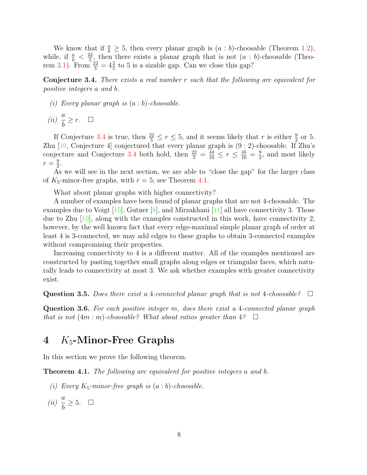We know that if  $\frac{a}{b} \ge 5$ , then every planar graph is  $(a : b)$ -choosable (Theorem [1.2\)](#page-1-0), while, if  $\frac{a}{b} < \frac{22}{5}$  $\frac{d^2}{d^2}$ , then there exists a planar graph that is not  $(a : b)$ -choosable (Theo-rem [3.1\)](#page-3-2). From  $\frac{22}{5} = 4\frac{2}{5}$  to 5 is a sizable gap. Can we close this gap?

<span id="page-7-1"></span>Conjecture 3.4. There exists a real number r such that the following are equivalent for positive integers a and b.

(i) Every planar graph is  $(a:b)$ -choosable.

$$
(ii) \ \frac{a}{b} \geq r. \quad \Box
$$

If Conjecture [3.4](#page-7-1) is true, then  $\frac{22}{5} \le r \le 5$ , and it seems likely that r is either  $\frac{9}{2}$  or 5. Zhu  $[19, Conjecture 4]$  $[19, Conjecture 4]$  conjectured that every planar graph is  $(9:2)$ -choosable. If Zhu's conjecture and Conjecture [3.4](#page-7-1) both hold, then  $\frac{22}{5} = \frac{44}{10} \le r \le \frac{45}{10} = \frac{9}{2}$  $\frac{9}{2}$ , and most likely  $r=\frac{9}{2}$  $\frac{9}{2}$ .

As we will see in the next section, we are able to "close the gap" for the larger class of  $K_5$ -minor-free graphs, with  $r = 5$ ; see Theorem [4.1.](#page-7-2)

What about planar graphs with higher connectivity?

A number of examples have been found of planar graphs that are not 4-choosable. The examples due to Voigt  $[15]$ , Gutner  $[8]$ , and Mirzakhani  $[11]$  all have connectivity 3. Those due to Zhu [\[19\]](#page-13-2), along with the examples constructed in this work, have connectivity 2; however, by the well known fact that every edge-maximal simple planar graph of order at least 4 is 3-connected, we may add edges to these graphs to obtain 3-connected examples without compromising their properties.

Increasing connectivity to 4 is a different matter. All of the examples mentioned are constructed by pasting together small graphs along edges or triangular faces, which naturally leads to connectivity at most 3. We ask whether examples with greater connectivity exist.

Question 3.5. Does there exist a 4-connected planar graph that is not 4-choosable?  $\Box$ 

Question 3.6. For each positive integer m, does there exist a 4-connected planar graph that is not  $(4m : m)$ -choosable? What about ratios greater than  $4$ ?  $\square$ 

## <span id="page-7-0"></span>4  $K_5$ -Minor-Free Graphs

In this section we prove the following theorem.

<span id="page-7-2"></span>Theorem 4.1. The following are equivalent for positive integers a and b.

- (i) Every  $K_5$ -minor-free graph is  $(a : b)$ -choosable.
- $(ii) \frac{a}{b}$ b  $\geq 5.$   $\Box$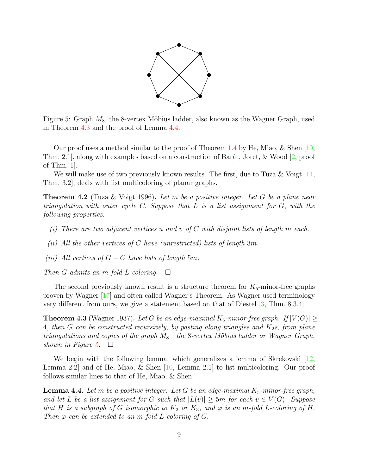

<span id="page-8-2"></span>Figure 5: Graph  $M_8$ , the 8-vertex Möbius ladder, also known as the Wagner Graph, used in Theorem [4.3](#page-8-0) and the proof of Lemma [4.4.](#page-8-1)

Our proof uses a method similar to the proof of Theorem [1.4](#page-1-1) by He, Miao, & Shen [\[10,](#page-12-9) Thm. 2.1, along with examples based on a construction of Barát, Joret,  $\&$  Wood [\[2,](#page-12-4) proof of Thm. 1].

We will make use of two previously known results. The first, due to Tuza & Voigt [\[14,](#page-13-0) Thm. 3.2], deals with list multicoloring of planar graphs.

<span id="page-8-3"></span>**Theorem 4.2** (Tuza & Voigt 1996). Let m be a positive integer. Let G be a plane near triangulation with outer cycle C. Suppose that L is a list assignment for G, with the following properties.

- (i) There are two adjacent vertices u and v of C with disjoint lists of length  $m$  each.
- (ii) All the other vertices of C have (unrestricted) lists of length  $3m$ .
- (iii) All vertices of  $G C$  have lists of length 5m.

Then G admits an m-fold L-coloring.  $\Box$ 

The second previously known result is a structure theorem for  $K_5$ -minor-free graphs proven by Wagner [\[17\]](#page-13-5) and often called Wagner's Theorem. As Wagner used terminology very different from ours, we give a statement based on that of Diestel [\[3,](#page-12-10) Thm. 8.3.4].

<span id="page-8-0"></span>**Theorem 4.3** (Wagner 1937). Let G be an edge-maximal  $K_5$ -minor-free graph. If  $|V(G)| \ge$ 4, then G can be constructed recursively, by pasting along triangles and  $K_2$ s, from plane triangulations and copies of the graph  $M_8$ —the 8-vertex Möbius ladder or Wagner Graph, shown in Figure [5.](#page-8-2)  $\Box$ 

We begin with the following lemma, which generalizes a lemma of Skrekovski  $[12,$  $[12,$ Lemma 2.2] and of He, Miao, & Shen [\[10,](#page-12-9) Lemma 2.1] to list multicoloring. Our proof follows similar lines to that of He, Miao, & Shen.

<span id="page-8-1"></span>**Lemma 4.4.** Let m be a positive integer. Let G be an edge-maximal  $K_5$ -minor-free graph, and let L be a list assignment for G such that  $|L(v)| \ge 5m$  for each  $v \in V(G)$ . Suppose that H is a subgraph of G isomorphic to  $K_2$  or  $K_3$ , and  $\varphi$  is an m-fold L-coloring of H. Then  $\varphi$  can be extended to an m-fold L-coloring of G.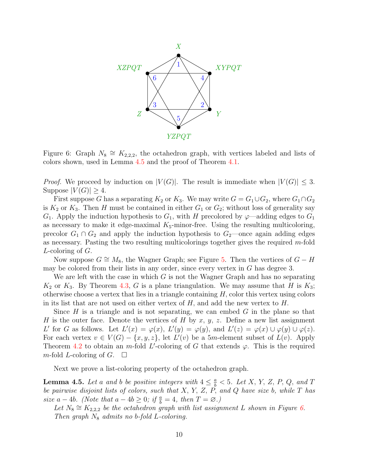

<span id="page-9-1"></span>Figure 6: Graph  $N_8 \cong K_{2,2,2}$ , the octahedron graph, with vertices labeled and lists of colors shown, used in Lemma [4.5](#page-9-0) and the proof of Theorem [4.1.](#page-7-2)

*Proof.* We proceed by induction on  $|V(G)|$ . The result is immediate when  $|V(G)| \leq 3$ . Suppose  $|V(G)| \geq 4$ .

First suppose G has a separating  $K_2$  or  $K_3$ . We may write  $G = G_1 \cup G_2$ , where  $G_1 \cap G_2$ is  $K_2$  or  $K_3$ . Then H must be contained in either  $G_1$  or  $G_2$ ; without loss of generality say  $G_1$ . Apply the induction hypothesis to  $G_1$ , with H precolored by  $\varphi$ —adding edges to  $G_1$ as necessary to make it edge-maximal  $K_5$ -minor-free. Using the resulting multicoloring, precolor  $G_1 \cap G_2$  and apply the induction hypothesis to  $G_2$ —once again adding edges as necessary. Pasting the two resulting multicolorings together gives the required m-fold L-coloring of G.

Now suppose  $G \cong M_8$ , the Wagner Graph; see Figure [5.](#page-8-2) Then the vertices of  $G - H$ may be colored from their lists in any order, since every vertex in  $G$  has degree 3.

We are left with the case in which  $G$  is not the Wagner Graph and has no separating  $K_2$  or  $K_3$ . By Theorem [4.3,](#page-8-0) G is a plane triangulation. We may assume that H is  $K_3$ ; otherwise choose a vertex that lies in a triangle containing  $H$ , color this vertex using colors in its list that are not used on either vertex of  $H$ , and add the new vertex to  $H$ .

Since  $H$  is a triangle and is not separating, we can embed  $G$  in the plane so that H is the outer face. Denote the vertices of H by x, y, z. Define a new list assignment L' for G as follows. Let  $L'(x) = \varphi(x)$ ,  $L'(y) = \varphi(y)$ , and  $L'(z) = \varphi(x) \cup \varphi(y) \cup \varphi(z)$ . For each vertex  $v \in V(G) - \{x, y, z\}$ , let  $L'(v)$  be a 5m-element subset of  $L(v)$ . Apply Theorem [4.2](#page-8-3) to obtain an m-fold L'-coloring of G that extends  $\varphi$ . This is the required m-fold L-coloring of  $G$ .  $\Box$ 

Next we prove a list-coloring property of the octahedron graph.

<span id="page-9-0"></span>**Lemma 4.5.** Let a and b be positive integers with  $4 \leq \frac{a}{b} < 5$ . Let X, Y, Z, P, Q, and T be pairwise disjoint lists of colors, such that  $X, Y, Z, P$ , and  $Q$  have size b, while  $T$  has size  $a - 4b$ . (Note that  $a - 4b \geq 0$ ; if  $\frac{a}{b} = 4$ , then  $T = \emptyset$ .)

Let  $N_8 \cong K_{2,2,2}$  be the octahedron graph with list assignment L shown in Figure [6.](#page-9-1) Then graph  $N_8$  admits no b-fold L-coloring.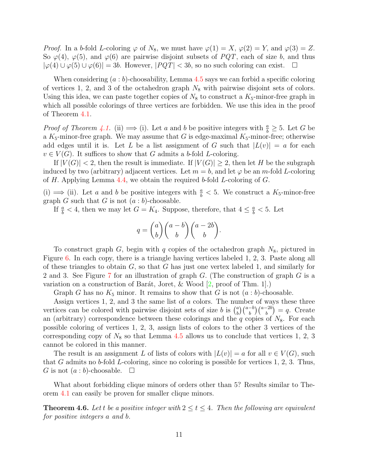*Proof.* In a b-fold L-coloring  $\varphi$  of  $N_8$ , we must have  $\varphi(1) = X$ ,  $\varphi(2) = Y$ , and  $\varphi(3) = Z$ . So  $\varphi(4)$ ,  $\varphi(5)$ , and  $\varphi(6)$  are pairwise disjoint subsets of PQT, each of size b, and thus  $|\varphi(4) \cup \varphi(5) \cup \varphi(6)| = 3b$ . However,  $|PQT| < 3b$ , so no such coloring can exist.  $\square$ 

When considering  $(a:b)$ -choosability, Lemma [4.5](#page-9-0) says we can forbid a specific coloring of vertices 1, 2, and 3 of the octahedron graph  $N_8$  with pairwise disjoint sets of colors. Using this idea, we can paste together copies of  $N_8$  to construct a  $K_5$ -minor-free graph in which all possible colorings of three vertices are forbidden. We use this idea in the proof of Theorem [4.1.](#page-7-2)

*Proof of Theorem [4.1.](#page-7-2)* (ii)  $\implies$  (i). Let a and b be positive integers with  $\frac{a}{b} \geq 5$ . Let G be a  $K_5$ -minor-free graph. We may assume that G is edge-maximal  $K_5$ -minor-free; otherwise add edges until it is. Let L be a list assignment of G such that  $|L(v)| = a$  for each  $v \in V(G)$ . It suffices to show that G admits a b-fold L-coloring.

If  $|V(G)| < 2$ , then the result is immediate. If  $|V(G)| \geq 2$ , then let H be the subgraph induced by two (arbitrary) adjacent vertices. Let  $m = b$ , and let  $\varphi$  be an m-fold L-coloring of H. Applying Lemma [4.4,](#page-8-1) we obtain the required b-fold L-coloring of  $G$ .

(i)  $\implies$  (ii). Let *a* and *b* be positive integers with  $\frac{a}{b}$  < 5. We construct a *K*<sub>5</sub>-minor-free graph G such that G is not  $(a:b)$ -choosable.

If  $\frac{a}{b} < 4$ , then we may let  $G = K_4$ . Suppose, therefore, that  $4 \leq \frac{a}{b} < 5$ . Let

$$
q = \binom{a}{b} \binom{a-b}{b} \binom{a-2b}{b}.
$$

To construct graph G, begin with q copies of the octahedron graph  $N_8$ , pictured in Figure [6.](#page-9-1) In each copy, there is a triangle having vertices labeled 1, 2, 3. Paste along all of these triangles to obtain  $G$ , so that  $G$  has just one vertex labeled 1, and similarly for 2 and 3. See Figure [7](#page-11-0) for an illustration of graph G. (The construction of graph G is a variation on a construction of Barát, Joret, & Wood  $[2, \text{proof of Thm. 1}].$  $[2, \text{proof of Thm. 1}].$ 

Graph G has no  $K_5$  minor. It remains to show that G is not  $(a:b)$ -choosable.

Assign vertices 1, 2, and 3 the same list of a colors. The number of ways these three vertices can be colored with pairwise disjoint sets of size b is  $\binom{a}{b}$  $\binom{a}{b}\binom{a-b}{b} = q.$  Create an (arbitrary) correspondence between these colorings and the  $q$  copies of  $N_8$ . For each possible coloring of vertices 1, 2, 3, assign lists of colors to the other 3 vertices of the corresponding copy of  $N_8$  so that Lemma [4.5](#page-9-0) allows us to conclude that vertices 1, 2, 3 cannot be colored in this manner.

The result is an assignment L of lists of colors with  $|L(v)| = a$  for all  $v \in V(G)$ , such that G admits no b-fold L-coloring, since no coloring is possible for vertices  $1, 2, 3$ . Thus, G is not  $(a:b)$ -choosable.  $\square$ 

What about forbidding clique minors of orders other than 5? Results similar to Theorem [4.1](#page-7-2) can easily be proven for smaller clique minors.

<span id="page-10-0"></span>**Theorem 4.6.** Let t be a positive integer with  $2 \le t \le 4$ . Then the following are equivalent for positive integers a and b.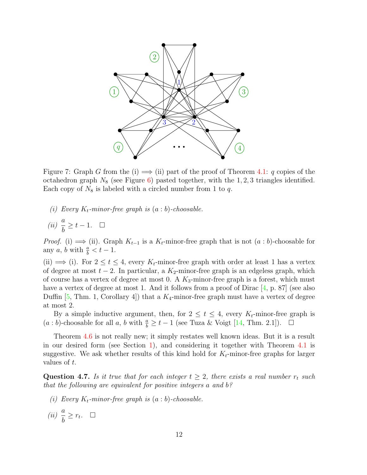

<span id="page-11-0"></span>Figure 7: Graph G from the (i)  $\implies$  (ii) part of the proof of Theorem [4.1:](#page-7-2) q copies of the octahedron graph  $N_8$  (see Figure [6\)](#page-9-1) pasted together, with the 1, 2, 3 triangles identified. Each copy of  $N_8$  is labeled with a circled number from 1 to q.

- (i) Every  $K_t$ -minor-free graph is  $(a:b)$ -choosable.
- $(ii) \frac{a}{i}$ b  $\geq t-1.$   $\Box$

*Proof.* (i)  $\implies$  (ii). Graph  $K_{t-1}$  is a  $K_t$ -minor-free graph that is not  $(a:b)$ -choosable for any a, b with  $\frac{a}{b} < t - 1$ .

(ii)  $\implies$  (i). For  $2 \le t \le 4$ , every  $K_t$ -minor-free graph with order at least 1 has a vertex of degree at most  $t - 2$ . In particular, a  $K_2$ -minor-free graph is an edgeless graph, which of course has a vertex of degree at most 0. A  $K_3$ -minor-free graph is a forest, which must have a vertex of degree at most 1. And it follows from a proof of Dirac [\[4,](#page-12-11) p. 87] (see also Duffin [\[5,](#page-12-12) Thm. 1, Corollary 4]) that a  $K_4$ -minor-free graph must have a vertex of degree at most 2.

By a simple inductive argument, then, for  $2 \le t \le 4$ , every  $K_t$ -minor-free graph is  $(a:b)$ -choosable for all a, b with  $\frac{a}{b}$  ≥ t − 1 (see Tuza & Voigt [\[14,](#page-13-0) Thm. 2.1]).  $\Box$ 

Theorem [4.6](#page-10-0) is not really new; it simply restates well known ideas. But it is a result in our desired form (see Section [1\)](#page-0-0), and considering it together with Theorem [4.1](#page-7-2) is suggestive. We ask whether results of this kind hold for  $K_t$ -minor-free graphs for larger values of t.

<span id="page-11-1"></span>**Question 4.7.** Is it true that for each integer  $t \geq 2$ , there exists a real number  $r_t$  such that the following are equivalent for positive integers a and b?

- (i) Every  $K_t$ -minor-free graph is  $(a:b)$ -choosable.
- $(ii) \frac{a}{i}$  $\frac{a}{b} \geq r_t$ .  $\Box$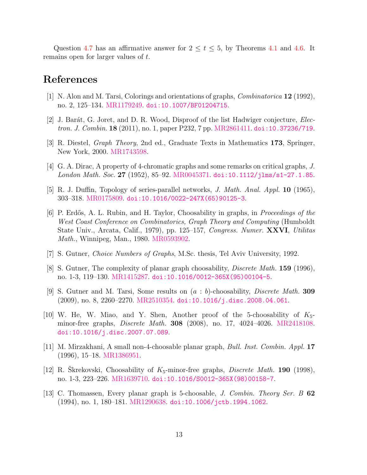Question [4.7](#page-11-1) has an affirmative answer for  $2 \le t \le 5$ , by Theorems [4.1](#page-7-2) and [4.6.](#page-10-0) It remains open for larger values of t.

# References

- <span id="page-12-1"></span>[1] N. Alon and M. Tarsi, Colorings and orientations of graphs, Combinatorica 12 (1992), no. 2, 125–134. [MR1179249.](https://mathscinet.ams.org/mathscinet-getitem?mr=MR1179249) [doi:10.1007/BF01204715](http://dx.doi.org/10.1007/BF01204715).
- <span id="page-12-4"></span>[2] J. Barát, G. Joret, and D. R. Wood, Disproof of the list Hadwiger conjecture, *Elec*tron. J. Combin. 18 (2011), no. 1, paper P232, 7 pp. [MR2861411.](https://mathscinet.ams.org/mathscinet-getitem?mr=MR2861411) [doi:10.37236/719](http://dx.doi.org/10.37236/719).
- <span id="page-12-10"></span>[3] R. Diestel, Graph Theory, 2nd ed., Graduate Texts in Mathematics 173, Springer, New York, 2000. [MR1743598.](https://mathscinet.ams.org/mathscinet-getitem?mr=MR1743598)
- <span id="page-12-11"></span>[4] G. A. Dirac, A property of 4-chromatic graphs and some remarks on critical graphs, J. London Math. Soc. 27 (1952), 85–92. [MR0045371.](https://mathscinet.ams.org/mathscinet-getitem?mr=MR0045371) [doi:10.1112/jlms/s1-27.1.85](http://dx.doi.org/10.1112/jlms/s1-27.1.85).
- <span id="page-12-12"></span>[5] R. J. Duffin, Topology of series-parallel networks, J. Math. Anal. Appl. 10 (1965), 303–318. [MR0175809.](https://mathscinet.ams.org/mathscinet-getitem?mr=MR0175809) [doi:10.1016/0022-247X\(65\)90125-3](http://dx.doi.org/10.1016/0022-247X(65)90125-3).
- <span id="page-12-0"></span>[6] P. Erdős, A. L. Rubin, and H. Taylor, Choosability in graphs, in *Proceedings of the* West Coast Conference on Combinatorics, Graph Theory and Computing (Humboldt State Univ., Arcata, Calif., 1979), pp. 125–157, Congress. Numer. XXVI, Utilitas Math., Winnipeg, Man., 1980. [MR0593902.](https://mathscinet.ams.org/mathscinet-getitem?mr=MR0593902)
- <span id="page-12-2"></span>[7] S. Gutner, Choice Numbers of Graphs, M.Sc. thesis, Tel Aviv University, 1992.
- <span id="page-12-6"></span>[8] S. Gutner, The complexity of planar graph choosability, *Discrete Math.* **159** (1996), no. 1-3, 119–130. [MR1415287.](https://mathscinet.ams.org/mathscinet-getitem?mr=MR1415287) [doi:10.1016/0012-365X\(95\)00104-5](http://dx.doi.org/10.1016/0012-365X(95)00104-5).
- <span id="page-12-3"></span>[9] S. Gutner and M. Tarsi, Some results on (a : b)-choosability, Discrete Math. 309 (2009), no. 8, 2260–2270. [MR2510354.](https://mathscinet.ams.org/mathscinet-getitem?mr=MR2510354) [doi:10.1016/j.disc.2008.04.061](http://dx.doi.org/10.1016/j.disc.2008.04.061).
- <span id="page-12-9"></span>[10] W. He, W. Miao, and Y. Shen, Another proof of the 5-choosability of  $K_{5}$ minor-free graphs, *Discrete Math.* **308** (2008), no. 17, 4024–4026. [MR2418108.](https://mathscinet.ams.org/mathscinet-getitem?mr=MR2418108) [doi:10.1016/j.disc.2007.07.089](http://dx.doi.org/10.1016/j.disc.2007.07.089).
- <span id="page-12-7"></span>[11] M. Mirzakhani, A small non-4-choosable planar graph, Bull. Inst. Combin. Appl. 17 (1996), 15–18. [MR1386951.](https://mathscinet.ams.org/mathscinet-getitem?mr=MR1386951)
- <span id="page-12-8"></span>[12] R. Skrekovski, Choosability of  $K_5$ -minor-free graphs, *Discrete Math.* 190 (1998), no. 1-3, 223–226. [MR1639710.](https://mathscinet.ams.org/mathscinet-getitem?mr=MR1639710) [doi:10.1016/S0012-365X\(98\)00158-7](http://dx.doi.org/10.1016/S0012-365X(98)00158-7).
- <span id="page-12-5"></span>[13] C. Thomassen, Every planar graph is 5-choosable, *J. Combin. Theory Ser. B* 62 (1994), no. 1, 180–181. [MR1290638.](https://mathscinet.ams.org/mathscinet-getitem?mr=MR1290638) [doi:10.1006/jctb.1994.1062](http://dx.doi.org/10.1006/jctb.1994.1062).